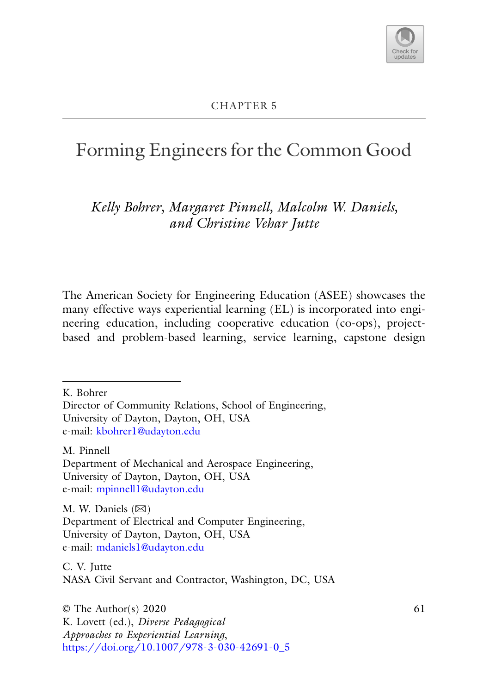# Forming Engineers for the Common Good

*Kelly Bohrer, Margaret Pinnell, Malcolm W. Daniels, and Christine Vehar Jutte*

The American Society for Engineering Education (ASEE) showcases the many effective ways experiential learning (EL) is incorporated into engineering education, including cooperative education (co-ops), projectbased and problem-based learning, service learning, capstone design

M. Pinnell Department of Mechanical and Aerospace Engineering, University of Dayton, Dayton, OH, USA e-mail: [mpinnell1@udayton.edu](mailto:mpinnell1@udayton.edu)

M. W. Daniels  $(\boxtimes)$ Department of Electrical and Computer Engineering, University of Dayton, Dayton, OH, USA e-mail: [mdaniels1@udayton.edu](mailto:mdaniels1@udayton.edu)

C. V. Jutte NASA Civil Servant and Contractor, Washington, DC, USA

© The Author(s) 2020 K. Lovett (ed.), *Diverse Pedagogical Approaches to Experiential Learning*, [https://doi.org/10.1007/978-3-030-42691-0\\_5](https://doi.org/10.1007/978-3-030-42691-0_5)

K. Bohrer

Director of Community Relations, School of Engineering, University of Dayton, Dayton, OH, USA e-mail: [kbohrer1@udayton.edu](mailto:kbohrer1@udayton.edu)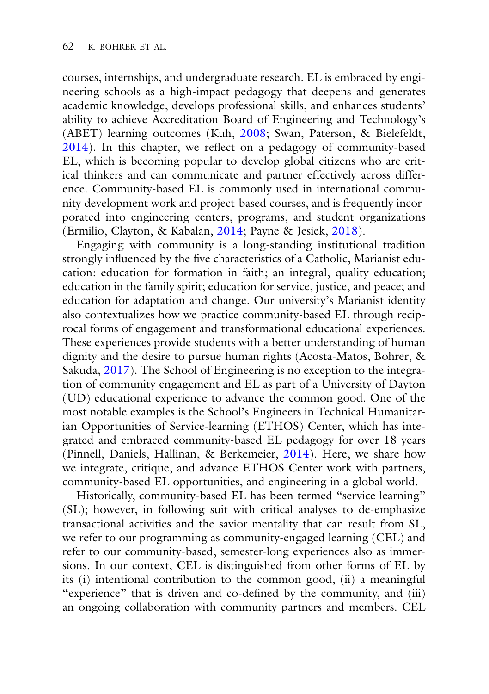courses, internships, and undergraduate research. EL is embraced by engineering schools as a high-impact pedagogy that deepens and generates academic knowledge, develops professional skills, and enhances students' ability to achieve Accreditation Board of Engineering and Technology's (ABET) learning outcomes (Kuh, [2008;](#page-16-0) Swan, Paterson, & Bielefeldt, [2014\)](#page-16-1). In this chapter, we reflect on a pedagogy of community-based EL, which is becoming popular to develop global citizens who are critical thinkers and can communicate and partner effectively across difference. Community-based EL is commonly used in international community development work and project-based courses, and is frequently incorporated into engineering centers, programs, and student organizations (Ermilio, Clayton, & Kabalan, [2014;](#page-15-0) Payne & Jesiek, [2018\)](#page-16-2).

Engaging with community is a long-standing institutional tradition strongly influenced by the five characteristics of a Catholic, Marianist education: education for formation in faith; an integral, quality education; education in the family spirit; education for service, justice, and peace; and education for adaptation and change. Our university's Marianist identity also contextualizes how we practice community-based EL through reciprocal forms of engagement and transformational educational experiences. These experiences provide students with a better understanding of human dignity and the desire to pursue human rights (Acosta-Matos, Bohrer, & Sakuda, [2017\)](#page-15-1). The School of Engineering is no exception to the integration of community engagement and EL as part of a University of Dayton (UD) educational experience to advance the common good. One of the most notable examples is the School's Engineers in Technical Humanitarian Opportunities of Service-learning (ETHOS) Center, which has integrated and embraced community-based EL pedagogy for over 18 years (Pinnell, Daniels, Hallinan, & Berkemeier, [2014\)](#page-16-3). Here, we share how we integrate, critique, and advance ETHOS Center work with partners, community-based EL opportunities, and engineering in a global world.

Historically, community-based EL has been termed "service learning" (SL); however, in following suit with critical analyses to de-emphasize transactional activities and the savior mentality that can result from SL, we refer to our programming as community-engaged learning (CEL) and refer to our community-based, semester-long experiences also as immersions. In our context, CEL is distinguished from other forms of EL by its (i) intentional contribution to the common good, (ii) a meaningful "experience" that is driven and co-defined by the community, and (iii) an ongoing collaboration with community partners and members. CEL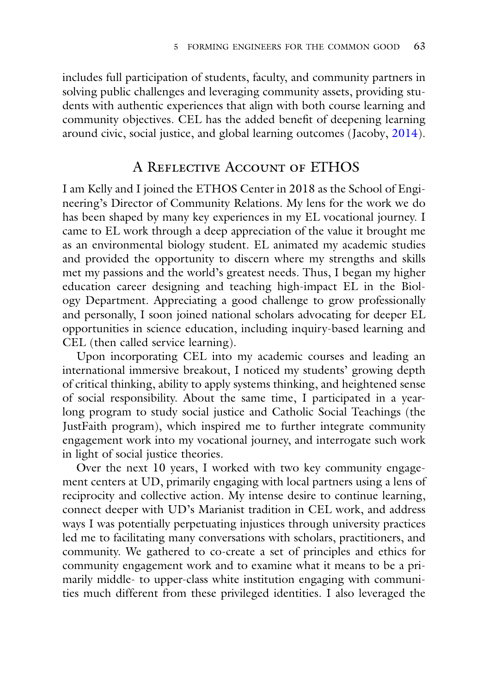includes full participation of students, faculty, and community partners in solving public challenges and leveraging community assets, providing students with authentic experiences that align with both course learning and community objectives. CEL has the added benefit of deepening learning around civic, social justice, and global learning outcomes (Jacoby, [2014\)](#page-16-4).

### A Reflective Account of ETHOS

I am Kelly and I joined the ETHOS Center in 2018 as the School of Engineering's Director of Community Relations. My lens for the work we do has been shaped by many key experiences in my EL vocational journey. I came to EL work through a deep appreciation of the value it brought me as an environmental biology student. EL animated my academic studies and provided the opportunity to discern where my strengths and skills met my passions and the world's greatest needs. Thus, I began my higher education career designing and teaching high-impact EL in the Biology Department. Appreciating a good challenge to grow professionally and personally, I soon joined national scholars advocating for deeper EL opportunities in science education, including inquiry-based learning and CEL (then called service learning).

Upon incorporating CEL into my academic courses and leading an international immersive breakout, I noticed my students' growing depth of critical thinking, ability to apply systems thinking, and heightened sense of social responsibility. About the same time, I participated in a yearlong program to study social justice and Catholic Social Teachings (the JustFaith program), which inspired me to further integrate community engagement work into my vocational journey, and interrogate such work in light of social justice theories.

Over the next 10 years, I worked with two key community engagement centers at UD, primarily engaging with local partners using a lens of reciprocity and collective action. My intense desire to continue learning, connect deeper with UD's Marianist tradition in CEL work, and address ways I was potentially perpetuating injustices through university practices led me to facilitating many conversations with scholars, practitioners, and community. We gathered to co-create a set of principles and ethics for community engagement work and to examine what it means to be a primarily middle- to upper-class white institution engaging with communities much different from these privileged identities. I also leveraged the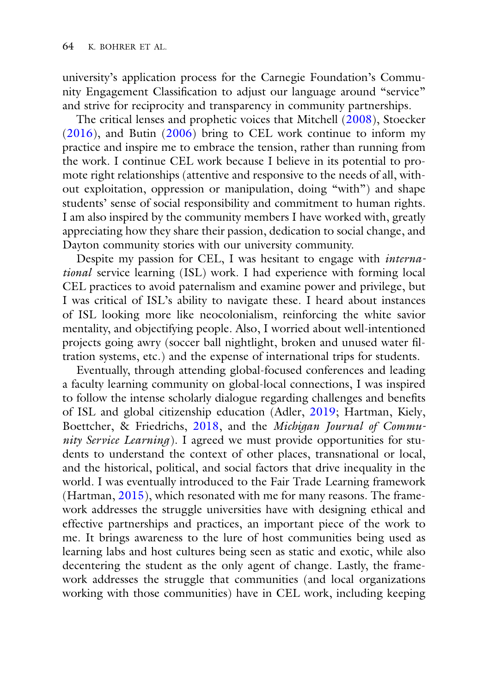university's application process for the Carnegie Foundation's Community Engagement Classification to adjust our language around "service" and strive for reciprocity and transparency in community partnerships.

The critical lenses and prophetic voices that Mitchell [\(2008\)](#page-16-5), Stoecker [\(2016\)](#page-16-6), and Butin [\(2006\)](#page-15-2) bring to CEL work continue to inform my practice and inspire me to embrace the tension, rather than running from the work. I continue CEL work because I believe in its potential to promote right relationships (attentive and responsive to the needs of all, without exploitation, oppression or manipulation, doing "with") and shape students' sense of social responsibility and commitment to human rights. I am also inspired by the community members I have worked with, greatly appreciating how they share their passion, dedication to social change, and Dayton community stories with our university community.

Despite my passion for CEL, I was hesitant to engage with *international* service learning (ISL) work. I had experience with forming local CEL practices to avoid paternalism and examine power and privilege, but I was critical of ISL's ability to navigate these. I heard about instances of ISL looking more like neocolonialism, reinforcing the white savior mentality, and objectifying people. Also, I worried about well-intentioned projects going awry (soccer ball nightlight, broken and unused water filtration systems, etc.) and the expense of international trips for students.

Eventually, through attending global-focused conferences and leading a faculty learning community on global-local connections, I was inspired to follow the intense scholarly dialogue regarding challenges and benefits of ISL and global citizenship education (Adler, [2019;](#page-15-3) Hartman, Kiely, Boettcher, & Friedrichs, [2018,](#page-16-7) and the *Michigan Journal of Community Service Learning*). I agreed we must provide opportunities for students to understand the context of other places, transnational or local, and the historical, political, and social factors that drive inequality in the world. I was eventually introduced to the Fair Trade Learning framework (Hartman, [2015\)](#page-15-4), which resonated with me for many reasons. The framework addresses the struggle universities have with designing ethical and effective partnerships and practices, an important piece of the work to me. It brings awareness to the lure of host communities being used as learning labs and host cultures being seen as static and exotic, while also decentering the student as the only agent of change. Lastly, the framework addresses the struggle that communities (and local organizations working with those communities) have in CEL work, including keeping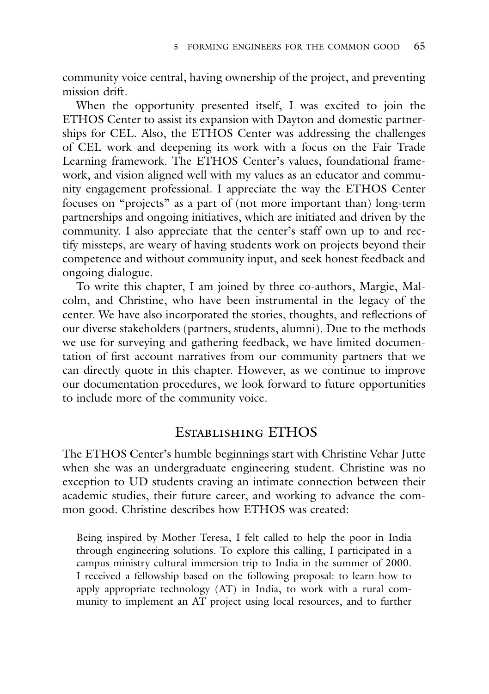community voice central, having ownership of the project, and preventing mission drift.

When the opportunity presented itself, I was excited to join the ETHOS Center to assist its expansion with Dayton and domestic partnerships for CEL. Also, the ETHOS Center was addressing the challenges of CEL work and deepening its work with a focus on the Fair Trade Learning framework. The ETHOS Center's values, foundational framework, and vision aligned well with my values as an educator and community engagement professional. I appreciate the way the ETHOS Center focuses on "projects" as a part of (not more important than) long-term partnerships and ongoing initiatives, which are initiated and driven by the community. I also appreciate that the center's staff own up to and rectify missteps, are weary of having students work on projects beyond their competence and without community input, and seek honest feedback and ongoing dialogue.

To write this chapter, I am joined by three co-authors, Margie, Malcolm, and Christine, who have been instrumental in the legacy of the center. We have also incorporated the stories, thoughts, and reflections of our diverse stakeholders (partners, students, alumni). Due to the methods we use for surveying and gathering feedback, we have limited documentation of first account narratives from our community partners that we can directly quote in this chapter. However, as we continue to improve our documentation procedures, we look forward to future opportunities to include more of the community voice.

# Establishing ETHOS

The ETHOS Center's humble beginnings start with Christine Vehar Jutte when she was an undergraduate engineering student. Christine was no exception to UD students craving an intimate connection between their academic studies, their future career, and working to advance the common good. Christine describes how ETHOS was created:

Being inspired by Mother Teresa, I felt called to help the poor in India through engineering solutions. To explore this calling, I participated in a campus ministry cultural immersion trip to India in the summer of 2000. I received a fellowship based on the following proposal: to learn how to apply appropriate technology (AT) in India, to work with a rural community to implement an AT project using local resources, and to further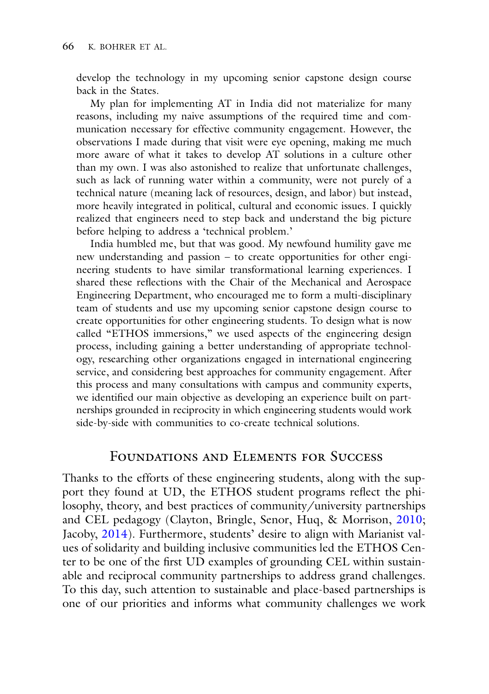develop the technology in my upcoming senior capstone design course back in the States.

My plan for implementing AT in India did not materialize for many reasons, including my naive assumptions of the required time and communication necessary for effective community engagement. However, the observations I made during that visit were eye opening, making me much more aware of what it takes to develop AT solutions in a culture other than my own. I was also astonished to realize that unfortunate challenges, such as lack of running water within a community, were not purely of a technical nature (meaning lack of resources, design, and labor) but instead, more heavily integrated in political, cultural and economic issues. I quickly realized that engineers need to step back and understand the big picture before helping to address a 'technical problem.'

India humbled me, but that was good. My newfound humility gave me new understanding and passion – to create opportunities for other engineering students to have similar transformational learning experiences. I shared these reflections with the Chair of the Mechanical and Aerospace Engineering Department, who encouraged me to form a multi-disciplinary team of students and use my upcoming senior capstone design course to create opportunities for other engineering students. To design what is now called "ETHOS immersions," we used aspects of the engineering design process, including gaining a better understanding of appropriate technology, researching other organizations engaged in international engineering service, and considering best approaches for community engagement. After this process and many consultations with campus and community experts, we identified our main objective as developing an experience built on partnerships grounded in reciprocity in which engineering students would work side-by-side with communities to co-create technical solutions.

### Foundations and Elements for Success

Thanks to the efforts of these engineering students, along with the support they found at UD, the ETHOS student programs reflect the philosophy, theory, and best practices of community/university partnerships and CEL pedagogy (Clayton, Bringle, Senor, Huq, & Morrison, [2010;](#page-15-5) Jacoby, [2014\)](#page-16-4). Furthermore, students' desire to align with Marianist values of solidarity and building inclusive communities led the ETHOS Center to be one of the first UD examples of grounding CEL within sustainable and reciprocal community partnerships to address grand challenges. To this day, such attention to sustainable and place-based partnerships is one of our priorities and informs what community challenges we work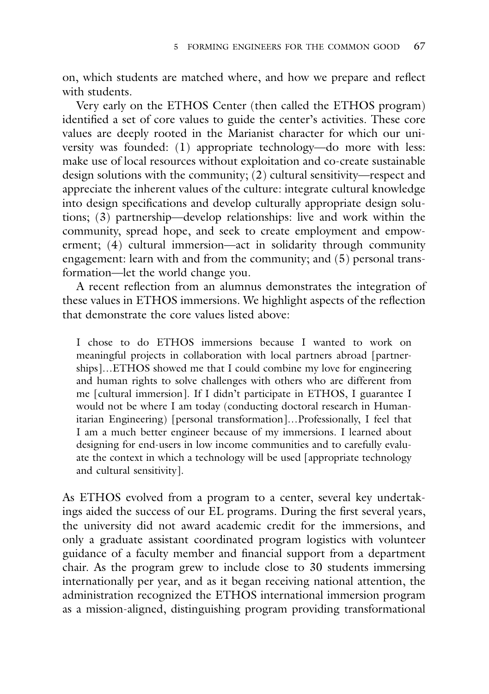on, which students are matched where, and how we prepare and reflect with students.

Very early on the ETHOS Center (then called the ETHOS program) identified a set of core values to guide the center's activities. These core values are deeply rooted in the Marianist character for which our university was founded: (1) appropriate technology—do more with less: make use of local resources without exploitation and co-create sustainable design solutions with the community;  $(2)$  cultural sensitivity—respect and appreciate the inherent values of the culture: integrate cultural knowledge into design specifications and develop culturally appropriate design solutions; (3) partnership—develop relationships: live and work within the community, spread hope, and seek to create employment and empowerment; (4) cultural immersion—act in solidarity through community engagement: learn with and from the community; and (5) personal transformation—let the world change you.

A recent reflection from an alumnus demonstrates the integration of these values in ETHOS immersions. We highlight aspects of the reflection that demonstrate the core values listed above:

I chose to do ETHOS immersions because I wanted to work on meaningful projects in collaboration with local partners abroad [partnerships]…ETHOS showed me that I could combine my love for engineering and human rights to solve challenges with others who are different from me [cultural immersion]. If I didn't participate in ETHOS, I guarantee I would not be where I am today (conducting doctoral research in Humanitarian Engineering) [personal transformation]…Professionally, I feel that I am a much better engineer because of my immersions. I learned about designing for end-users in low income communities and to carefully evaluate the context in which a technology will be used [appropriate technology and cultural sensitivity].

As ETHOS evolved from a program to a center, several key undertakings aided the success of our EL programs. During the first several years, the university did not award academic credit for the immersions, and only a graduate assistant coordinated program logistics with volunteer guidance of a faculty member and financial support from a department chair. As the program grew to include close to 30 students immersing internationally per year, and as it began receiving national attention, the administration recognized the ETHOS international immersion program as a mission-aligned, distinguishing program providing transformational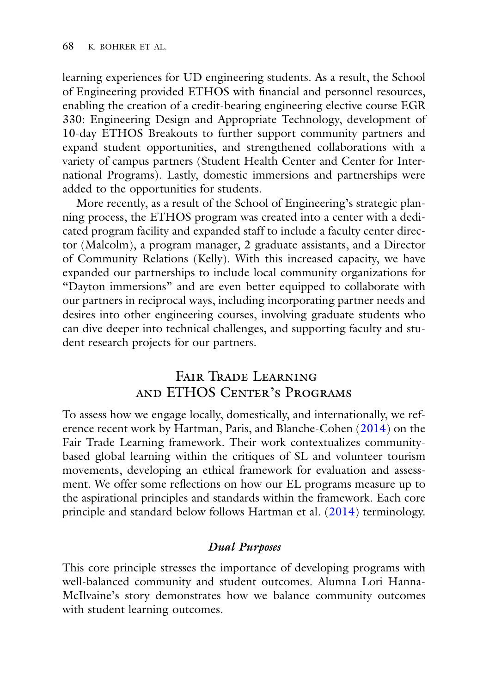learning experiences for UD engineering students. As a result, the School of Engineering provided ETHOS with financial and personnel resources, enabling the creation of a credit-bearing engineering elective course EGR 330: Engineering Design and Appropriate Technology, development of 10-day ETHOS Breakouts to further support community partners and expand student opportunities, and strengthened collaborations with a variety of campus partners (Student Health Center and Center for International Programs). Lastly, domestic immersions and partnerships were added to the opportunities for students.

More recently, as a result of the School of Engineering's strategic planning process, the ETHOS program was created into a center with a dedicated program facility and expanded staff to include a faculty center director (Malcolm), a program manager, 2 graduate assistants, and a Director of Community Relations (Kelly). With this increased capacity, we have expanded our partnerships to include local community organizations for "Dayton immersions" and are even better equipped to collaborate with our partners in reciprocal ways, including incorporating partner needs and desires into other engineering courses, involving graduate students who can dive deeper into technical challenges, and supporting faculty and student research projects for our partners.

# Fair Trade Learning and ETHOS Center's Programs

To assess how we engage locally, domestically, and internationally, we reference recent work by Hartman, Paris, and Blanche-Cohen [\(2014\)](#page-16-8) on the Fair Trade Learning framework. Their work contextualizes communitybased global learning within the critiques of SL and volunteer tourism movements, developing an ethical framework for evaluation and assessment. We offer some reflections on how our EL programs measure up to the aspirational principles and standards within the framework. Each core principle and standard below follows Hartman et al. [\(2014\)](#page-16-8) terminology.

#### *Dual Purposes*

This core principle stresses the importance of developing programs with well-balanced community and student outcomes. Alumna Lori Hanna-McIlvaine's story demonstrates how we balance community outcomes with student learning outcomes.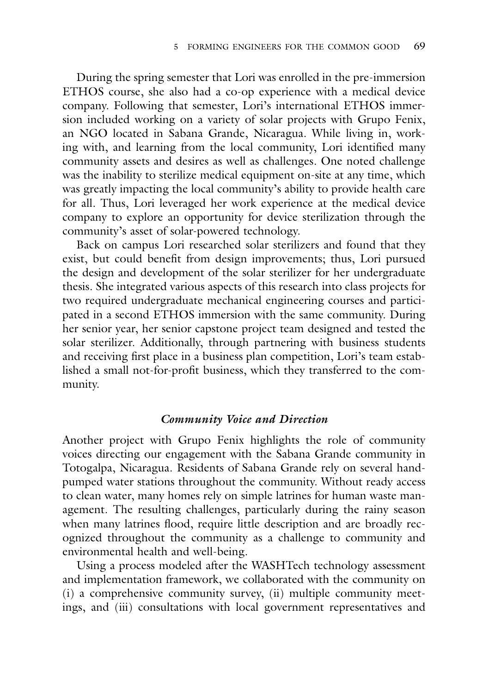During the spring semester that Lori was enrolled in the pre-immersion ETHOS course, she also had a co-op experience with a medical device company. Following that semester, Lori's international ETHOS immersion included working on a variety of solar projects with Grupo Fenix, an NGO located in Sabana Grande, Nicaragua. While living in, working with, and learning from the local community, Lori identified many community assets and desires as well as challenges. One noted challenge was the inability to sterilize medical equipment on-site at any time, which was greatly impacting the local community's ability to provide health care for all. Thus, Lori leveraged her work experience at the medical device company to explore an opportunity for device sterilization through the community's asset of solar-powered technology.

Back on campus Lori researched solar sterilizers and found that they exist, but could benefit from design improvements; thus, Lori pursued the design and development of the solar sterilizer for her undergraduate thesis. She integrated various aspects of this research into class projects for two required undergraduate mechanical engineering courses and participated in a second ETHOS immersion with the same community. During her senior year, her senior capstone project team designed and tested the solar sterilizer. Additionally, through partnering with business students and receiving first place in a business plan competition, Lori's team established a small not-for-profit business, which they transferred to the community.

#### *Community Voice and Direction*

Another project with Grupo Fenix highlights the role of community voices directing our engagement with the Sabana Grande community in Totogalpa, Nicaragua. Residents of Sabana Grande rely on several handpumped water stations throughout the community. Without ready access to clean water, many homes rely on simple latrines for human waste management. The resulting challenges, particularly during the rainy season when many latrines flood, require little description and are broadly recognized throughout the community as a challenge to community and environmental health and well-being.

Using a process modeled after the WASHTech technology assessment and implementation framework, we collaborated with the community on (i) a comprehensive community survey, (ii) multiple community meetings, and (iii) consultations with local government representatives and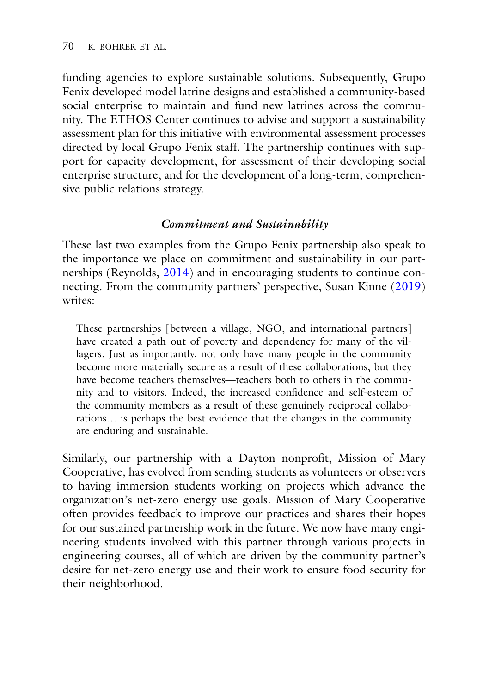funding agencies to explore sustainable solutions. Subsequently, Grupo Fenix developed model latrine designs and established a community-based social enterprise to maintain and fund new latrines across the community. The ETHOS Center continues to advise and support a sustainability assessment plan for this initiative with environmental assessment processes directed by local Grupo Fenix staff. The partnership continues with support for capacity development, for assessment of their developing social enterprise structure, and for the development of a long-term, comprehensive public relations strategy.

### *Commitment and Sustainability*

These last two examples from the Grupo Fenix partnership also speak to the importance we place on commitment and sustainability in our partnerships (Reynolds, [2014\)](#page-16-9) and in encouraging students to continue connecting. From the community partners' perspective, Susan Kinne [\(2019\)](#page-16-10) writes:

These partnerships [between a village, NGO, and international partners] have created a path out of poverty and dependency for many of the villagers. Just as importantly, not only have many people in the community become more materially secure as a result of these collaborations, but they have become teachers themselves—teachers both to others in the community and to visitors. Indeed, the increased confidence and self-esteem of the community members as a result of these genuinely reciprocal collaborations… is perhaps the best evidence that the changes in the community are enduring and sustainable.

Similarly, our partnership with a Dayton nonprofit, Mission of Mary Cooperative, has evolved from sending students as volunteers or observers to having immersion students working on projects which advance the organization's net-zero energy use goals. Mission of Mary Cooperative often provides feedback to improve our practices and shares their hopes for our sustained partnership work in the future. We now have many engineering students involved with this partner through various projects in engineering courses, all of which are driven by the community partner's desire for net-zero energy use and their work to ensure food security for their neighborhood.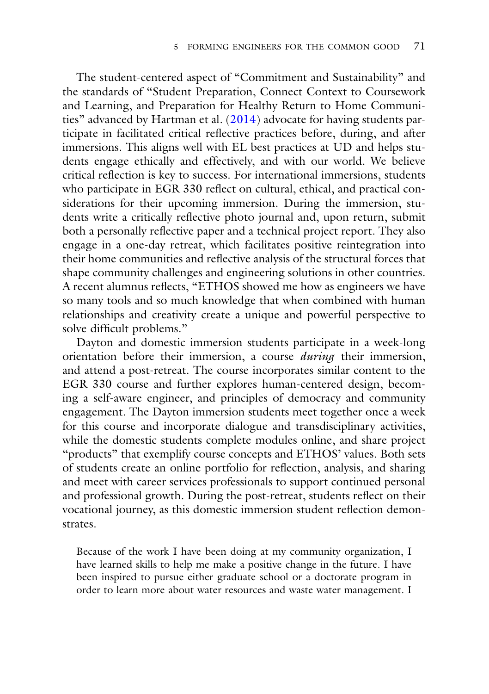The student-centered aspect of "Commitment and Sustainability" and the standards of "Student Preparation, Connect Context to Coursework and Learning, and Preparation for Healthy Return to Home Communities" advanced by Hartman et al. [\(2014\)](#page-16-8) advocate for having students participate in facilitated critical reflective practices before, during, and after immersions. This aligns well with EL best practices at UD and helps students engage ethically and effectively, and with our world. We believe critical reflection is key to success. For international immersions, students who participate in EGR 330 reflect on cultural, ethical, and practical considerations for their upcoming immersion. During the immersion, students write a critically reflective photo journal and, upon return, submit both a personally reflective paper and a technical project report. They also engage in a one-day retreat, which facilitates positive reintegration into their home communities and reflective analysis of the structural forces that shape community challenges and engineering solutions in other countries. A recent alumnus reflects, "ETHOS showed me how as engineers we have so many tools and so much knowledge that when combined with human relationships and creativity create a unique and powerful perspective to solve difficult problems."

Dayton and domestic immersion students participate in a week-long orientation before their immersion, a course *during* their immersion, and attend a post-retreat. The course incorporates similar content to the EGR 330 course and further explores human-centered design, becoming a self-aware engineer, and principles of democracy and community engagement. The Dayton immersion students meet together once a week for this course and incorporate dialogue and transdisciplinary activities, while the domestic students complete modules online, and share project "products" that exemplify course concepts and ETHOS' values. Both sets of students create an online portfolio for reflection, analysis, and sharing and meet with career services professionals to support continued personal and professional growth. During the post-retreat, students reflect on their vocational journey, as this domestic immersion student reflection demonstrates.

Because of the work I have been doing at my community organization, I have learned skills to help me make a positive change in the future. I have been inspired to pursue either graduate school or a doctorate program in order to learn more about water resources and waste water management. I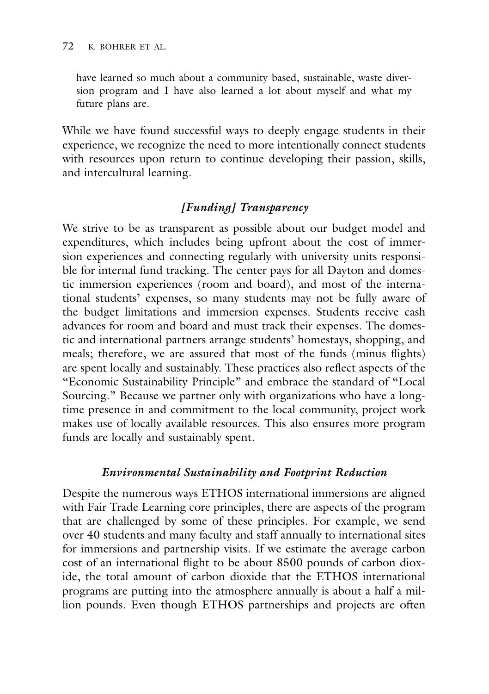have learned so much about a community based, sustainable, waste diversion program and I have also learned a lot about myself and what my future plans are.

While we have found successful ways to deeply engage students in their experience, we recognize the need to more intentionally connect students with resources upon return to continue developing their passion, skills, and intercultural learning.

## *[Funding] Transparency*

We strive to be as transparent as possible about our budget model and expenditures, which includes being upfront about the cost of immersion experiences and connecting regularly with university units responsible for internal fund tracking. The center pays for all Dayton and domestic immersion experiences (room and board), and most of the international students' expenses, so many students may not be fully aware of the budget limitations and immersion expenses. Students receive cash advances for room and board and must track their expenses. The domestic and international partners arrange students' homestays, shopping, and meals; therefore, we are assured that most of the funds (minus flights) are spent locally and sustainably. These practices also reflect aspects of the "Economic Sustainability Principle" and embrace the standard of "Local Sourcing." Because we partner only with organizations who have a longtime presence in and commitment to the local community, project work makes use of locally available resources. This also ensures more program funds are locally and sustainably spent.

### *Environmental Sustainability and Footprint Reduction*

Despite the numerous ways ETHOS international immersions are aligned with Fair Trade Learning core principles, there are aspects of the program that are challenged by some of these principles. For example, we send over 40 students and many faculty and staff annually to international sites for immersions and partnership visits. If we estimate the average carbon cost of an international flight to be about 8500 pounds of carbon dioxide, the total amount of carbon dioxide that the ETHOS international programs are putting into the atmosphere annually is about a half a million pounds. Even though ETHOS partnerships and projects are often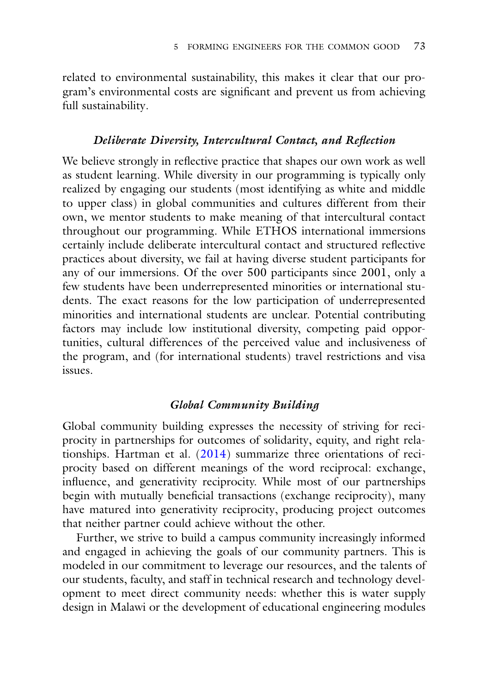related to environmental sustainability, this makes it clear that our program's environmental costs are significant and prevent us from achieving full sustainability.

#### *Deliberate Diversity, Intercultural Contact, and Reflection*

We believe strongly in reflective practice that shapes our own work as well as student learning. While diversity in our programming is typically only realized by engaging our students (most identifying as white and middle to upper class) in global communities and cultures different from their own, we mentor students to make meaning of that intercultural contact throughout our programming. While ETHOS international immersions certainly include deliberate intercultural contact and structured reflective practices about diversity, we fail at having diverse student participants for any of our immersions. Of the over 500 participants since 2001, only a few students have been underrepresented minorities or international students. The exact reasons for the low participation of underrepresented minorities and international students are unclear. Potential contributing factors may include low institutional diversity, competing paid opportunities, cultural differences of the perceived value and inclusiveness of the program, and (for international students) travel restrictions and visa issues.

#### *Global Community Building*

Global community building expresses the necessity of striving for reciprocity in partnerships for outcomes of solidarity, equity, and right relationships. Hartman et al. [\(2014\)](#page-16-8) summarize three orientations of reciprocity based on different meanings of the word reciprocal: exchange, influence, and generativity reciprocity. While most of our partnerships begin with mutually beneficial transactions (exchange reciprocity), many have matured into generativity reciprocity, producing project outcomes that neither partner could achieve without the other.

Further, we strive to build a campus community increasingly informed and engaged in achieving the goals of our community partners. This is modeled in our commitment to leverage our resources, and the talents of our students, faculty, and staff in technical research and technology development to meet direct community needs: whether this is water supply design in Malawi or the development of educational engineering modules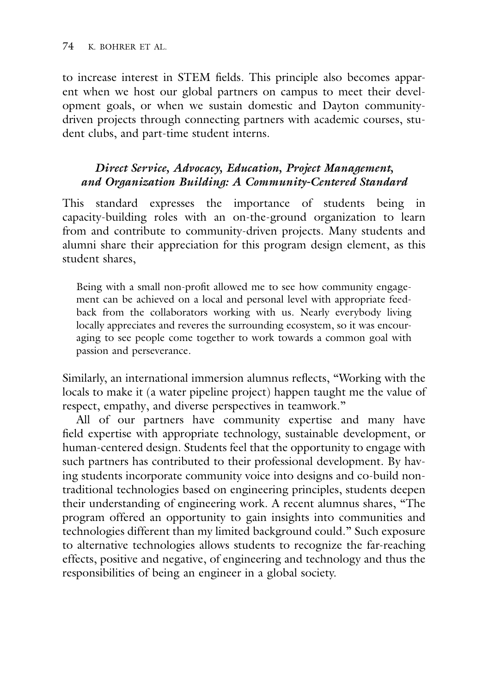to increase interest in STEM fields. This principle also becomes apparent when we host our global partners on campus to meet their development goals, or when we sustain domestic and Dayton communitydriven projects through connecting partners with academic courses, student clubs, and part-time student interns.

### *Direct Service, Advocacy, Education, Project Management, and Organization Building: A Community-Centered Standard*

This standard expresses the importance of students being in capacity-building roles with an on-the-ground organization to learn from and contribute to community-driven projects. Many students and alumni share their appreciation for this program design element, as this student shares,

Being with a small non-profit allowed me to see how community engagement can be achieved on a local and personal level with appropriate feedback from the collaborators working with us. Nearly everybody living locally appreciates and reveres the surrounding ecosystem, so it was encouraging to see people come together to work towards a common goal with passion and perseverance.

Similarly, an international immersion alumnus reflects, "Working with the locals to make it (a water pipeline project) happen taught me the value of respect, empathy, and diverse perspectives in teamwork."

All of our partners have community expertise and many have field expertise with appropriate technology, sustainable development, or human-centered design. Students feel that the opportunity to engage with such partners has contributed to their professional development. By having students incorporate community voice into designs and co-build nontraditional technologies based on engineering principles, students deepen their understanding of engineering work. A recent alumnus shares, "The program offered an opportunity to gain insights into communities and technologies different than my limited background could." Such exposure to alternative technologies allows students to recognize the far-reaching effects, positive and negative, of engineering and technology and thus the responsibilities of being an engineer in a global society.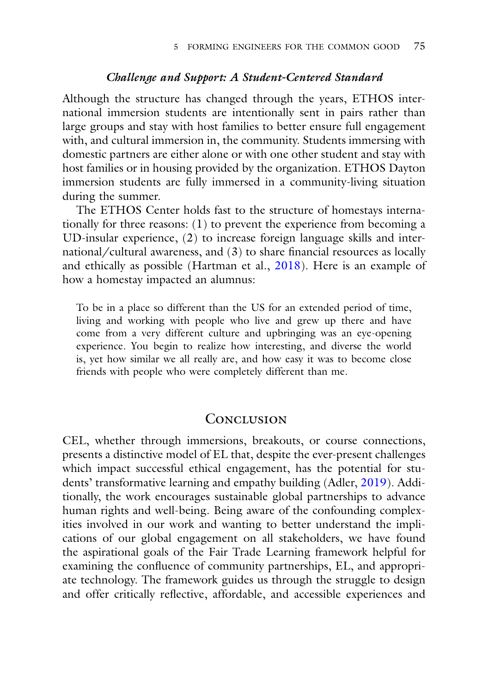#### *Challenge and Support: A Student-Centered Standard*

Although the structure has changed through the years, ETHOS international immersion students are intentionally sent in pairs rather than large groups and stay with host families to better ensure full engagement with, and cultural immersion in, the community. Students immersing with domestic partners are either alone or with one other student and stay with host families or in housing provided by the organization. ETHOS Dayton immersion students are fully immersed in a community-living situation during the summer.

The ETHOS Center holds fast to the structure of homestays internationally for three reasons: (1) to prevent the experience from becoming a UD-insular experience, (2) to increase foreign language skills and international/cultural awareness, and (3) to share financial resources as locally and ethically as possible (Hartman et al., [2018\)](#page-16-7). Here is an example of how a homestay impacted an alumnus:

To be in a place so different than the US for an extended period of time, living and working with people who live and grew up there and have come from a very different culture and upbringing was an eye-opening experience. You begin to realize how interesting, and diverse the world is, yet how similar we all really are, and how easy it was to become close friends with people who were completely different than me.

### **CONCLUSION**

CEL, whether through immersions, breakouts, or course connections, presents a distinctive model of EL that, despite the ever-present challenges which impact successful ethical engagement, has the potential for students' transformative learning and empathy building (Adler, [2019\)](#page-15-3). Additionally, the work encourages sustainable global partnerships to advance human rights and well-being. Being aware of the confounding complexities involved in our work and wanting to better understand the implications of our global engagement on all stakeholders, we have found the aspirational goals of the Fair Trade Learning framework helpful for examining the confluence of community partnerships, EL, and appropriate technology. The framework guides us through the struggle to design and offer critically reflective, affordable, and accessible experiences and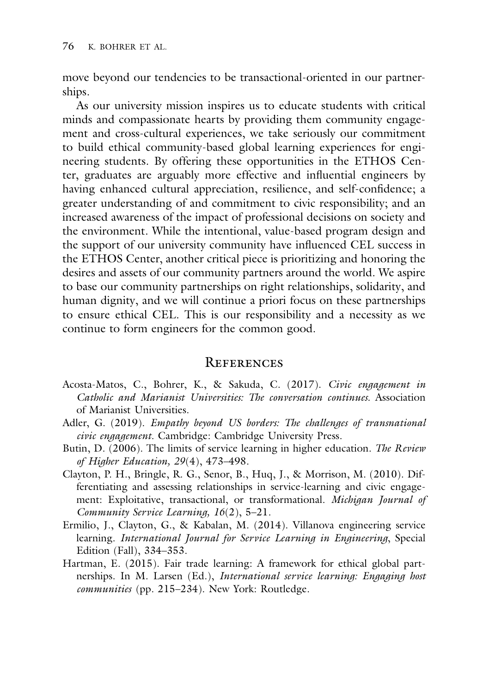move beyond our tendencies to be transactional-oriented in our partnerships.

As our university mission inspires us to educate students with critical minds and compassionate hearts by providing them community engagement and cross-cultural experiences, we take seriously our commitment to build ethical community-based global learning experiences for engineering students. By offering these opportunities in the ETHOS Center, graduates are arguably more effective and influential engineers by having enhanced cultural appreciation, resilience, and self-confidence; a greater understanding of and commitment to civic responsibility; and an increased awareness of the impact of professional decisions on society and the environment. While the intentional, value-based program design and the support of our university community have influenced CEL success in the ETHOS Center, another critical piece is prioritizing and honoring the desires and assets of our community partners around the world. We aspire to base our community partnerships on right relationships, solidarity, and human dignity, and we will continue a priori focus on these partnerships to ensure ethical CEL. This is our responsibility and a necessity as we continue to form engineers for the common good.

#### **REFERENCES**

- <span id="page-15-1"></span>Acosta-Matos, C., Bohrer, K., & Sakuda, C. (2017). *Civic engagement in Catholic and Marianist Universities: The conversation continues.* Association of Marianist Universities.
- <span id="page-15-3"></span>Adler, G. (2019). *Empathy beyond US borders: The challenges of transnational civic engagement*. Cambridge: Cambridge University Press.
- <span id="page-15-2"></span>Butin, D. (2006). The limits of service learning in higher education. *The Review of Higher Education, 29*(4), 473–498.
- <span id="page-15-5"></span>Clayton, P. H., Bringle, R. G., Senor, B., Huq, J., & Morrison, M. (2010). Differentiating and assessing relationships in service-learning and civic engagement: Exploitative, transactional, or transformational. *Michigan Journal of Community Service Learning, 16*(2), 5–21.
- <span id="page-15-0"></span>Ermilio, J., Clayton, G., & Kabalan, M. (2014). Villanova engineering service learning. *International Journal for Service Learning in Engineering*, Special Edition (Fall), 334–353.
- <span id="page-15-4"></span>Hartman, E. (2015). Fair trade learning: A framework for ethical global partnerships. In M. Larsen (Ed.), *International service learning: Engaging host communities* (pp. 215–234). New York: Routledge.